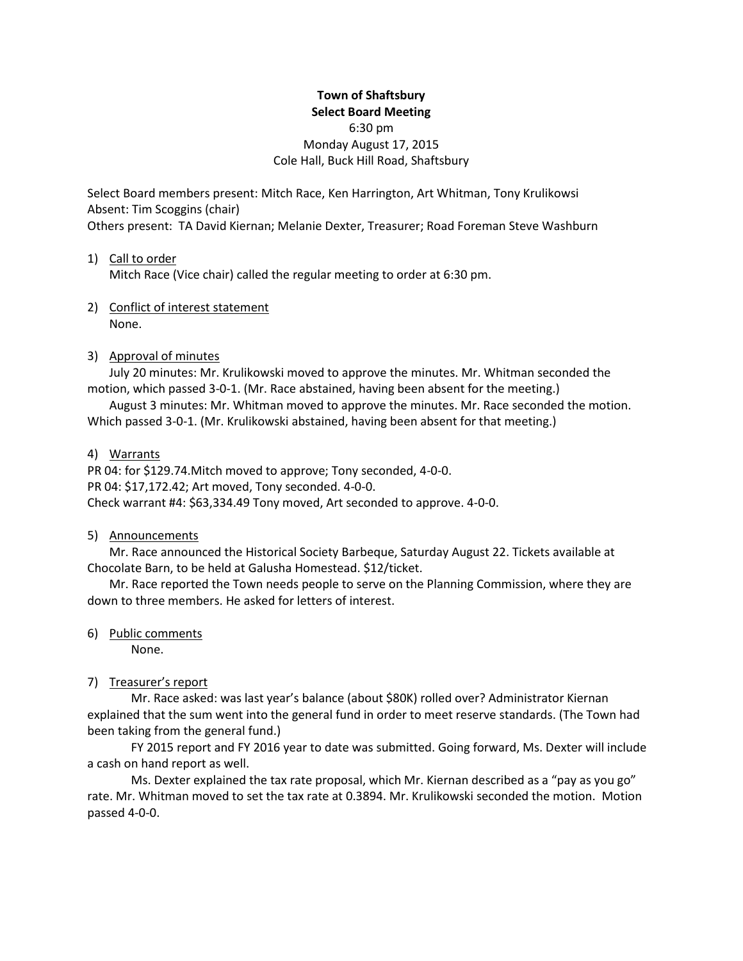# **Town of Shaftsbury Select Board Meeting** 6:30 pm Monday August 17, 2015 Cole Hall, Buck Hill Road, Shaftsbury

Select Board members present: Mitch Race, Ken Harrington, Art Whitman, Tony Krulikowsi Absent: Tim Scoggins (chair)

Others present: TA David Kiernan; Melanie Dexter, Treasurer; Road Foreman Steve Washburn

# 1) Call to order

Mitch Race (Vice chair) called the regular meeting to order at 6:30 pm.

2) Conflict of interest statement None.

# 3) Approval of minutes

July 20 minutes: Mr. Krulikowski moved to approve the minutes. Mr. Whitman seconded the motion, which passed 3-0-1. (Mr. Race abstained, having been absent for the meeting.)

August 3 minutes: Mr. Whitman moved to approve the minutes. Mr. Race seconded the motion. Which passed 3-0-1. (Mr. Krulikowski abstained, having been absent for that meeting.)

## 4) Warrants

PR 04: for \$129.74.Mitch moved to approve; Tony seconded, 4-0-0. PR 04: \$17,172.42; Art moved, Tony seconded. 4-0-0. Check warrant #4: \$63,334.49 Tony moved, Art seconded to approve. 4-0-0.

## 5) Announcements

Mr. Race announced the Historical Society Barbeque, Saturday August 22. Tickets available at Chocolate Barn, to be held at Galusha Homestead. \$12/ticket.

Mr. Race reported the Town needs people to serve on the Planning Commission, where they are down to three members. He asked for letters of interest.

# 6) Public comments

None.

# 7) Treasurer's report

Mr. Race asked: was last year's balance (about \$80K) rolled over? Administrator Kiernan explained that the sum went into the general fund in order to meet reserve standards. (The Town had been taking from the general fund.)

FY 2015 report and FY 2016 year to date was submitted. Going forward, Ms. Dexter will include a cash on hand report as well.

Ms. Dexter explained the tax rate proposal, which Mr. Kiernan described as a "pay as you go" rate. Mr. Whitman moved to set the tax rate at 0.3894. Mr. Krulikowski seconded the motion. Motion passed 4-0-0.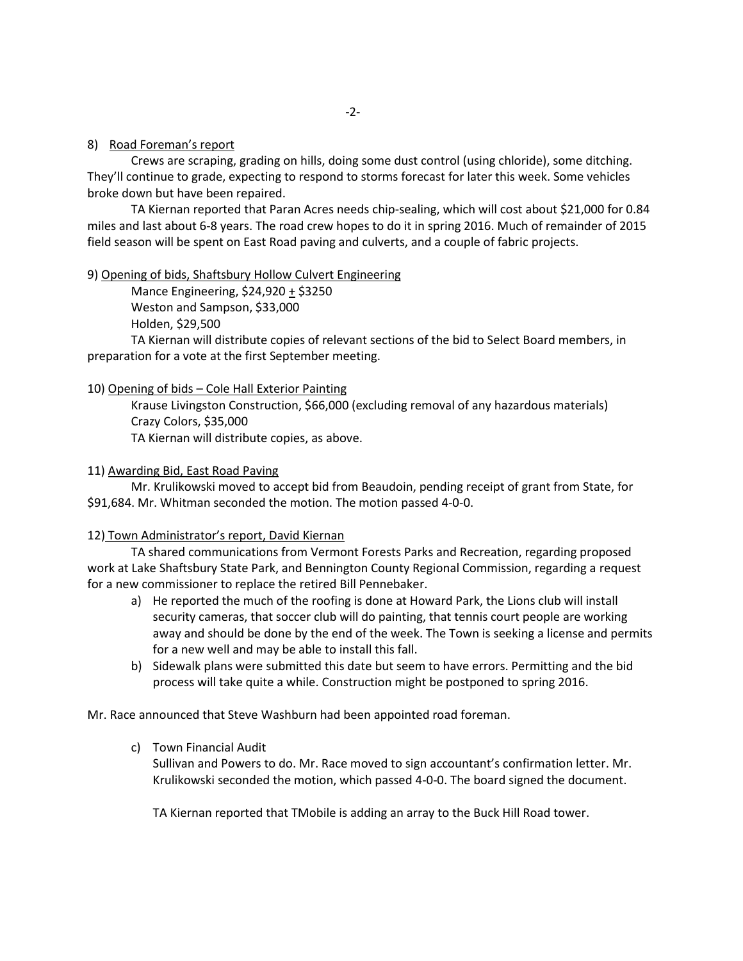### 8) Road Foreman's report

Crews are scraping, grading on hills, doing some dust control (using chloride), some ditching. They'll continue to grade, expecting to respond to storms forecast for later this week. Some vehicles broke down but have been repaired.

TA Kiernan reported that Paran Acres needs chip-sealing, which will cost about \$21,000 for 0.84 miles and last about 6-8 years. The road crew hopes to do it in spring 2016. Much of remainder of 2015 field season will be spent on East Road paving and culverts, and a couple of fabric projects.

### 9) Opening of bids, Shaftsbury Hollow Culvert Engineering

Mance Engineering, \$24,920 + \$3250 Weston and Sampson, \$33,000 Holden, \$29,500 TA Kiernan will distribute copies of relevant sections of the bid to Select Board members, in preparation for a vote at the first September meeting.

## 10) Opening of bids – Cole Hall Exterior Painting

Krause Livingston Construction, \$66,000 (excluding removal of any hazardous materials) Crazy Colors, \$35,000 TA Kiernan will distribute copies, as above.

### 11) Awarding Bid, East Road Paving

Mr. Krulikowski moved to accept bid from Beaudoin, pending receipt of grant from State, for \$91,684. Mr. Whitman seconded the motion. The motion passed 4-0-0.

## 12) Town Administrator's report, David Kiernan

TA shared communications from Vermont Forests Parks and Recreation, regarding proposed work at Lake Shaftsbury State Park, and Bennington County Regional Commission, regarding a request for a new commissioner to replace the retired Bill Pennebaker.

- a) He reported the much of the roofing is done at Howard Park, the Lions club will install security cameras, that soccer club will do painting, that tennis court people are working away and should be done by the end of the week. The Town is seeking a license and permits for a new well and may be able to install this fall.
- b) Sidewalk plans were submitted this date but seem to have errors. Permitting and the bid process will take quite a while. Construction might be postponed to spring 2016.

Mr. Race announced that Steve Washburn had been appointed road foreman.

c) Town Financial Audit

Sullivan and Powers to do. Mr. Race moved to sign accountant's confirmation letter. Mr. Krulikowski seconded the motion, which passed 4-0-0. The board signed the document.

TA Kiernan reported that TMobile is adding an array to the Buck Hill Road tower.